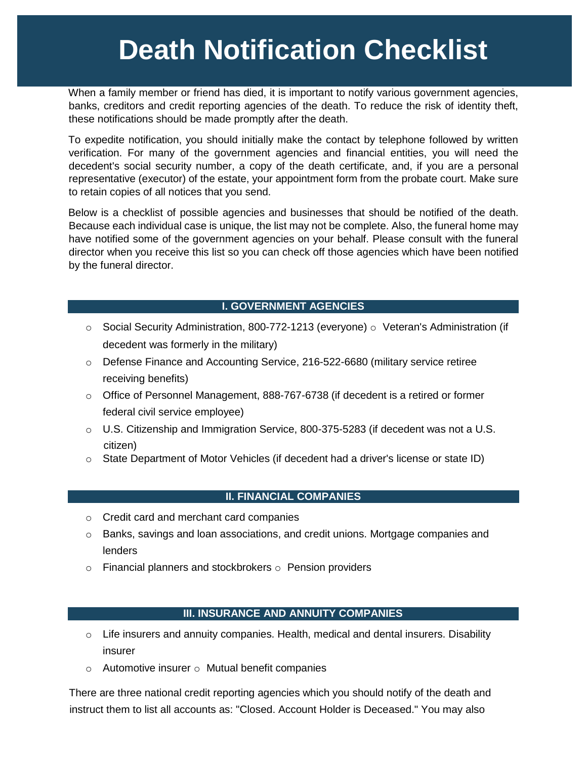# **Death Notification Checklist**

When a family member or friend has died, it is important to notify various government agencies, banks, creditors and credit reporting agencies of the death. To reduce the risk of identity theft, these notifications should be made promptly after the death.

To expedite notification, you should initially make the contact by telephone followed by written verification. For many of the government agencies and financial entities, you will need the decedent's social security number, a copy of the death certificate, and, if you are a personal representative (executor) of the estate, your appointment form from the probate court. Make sure to retain copies of all notices that you send.

Below is a checklist of possible agencies and businesses that should be notified of the death. Because each individual case is unique, the list may not be complete. Also, the funeral home may have notified some of the government agencies on your behalf. Please consult with the funeral director when you receive this list so you can check off those agencies which have been notified by the funeral director.

# **I. GOVERNMENT AGENCIES**

- o Social Security Administration, 800-772-1213 (everyone) o Veteran's Administration (if decedent was formerly in the military)
- o Defense Finance and Accounting Service, 216-522-6680 (military service retiree receiving benefits)
- o Office of Personnel Management, 888-767-6738 (if decedent is a retired or former federal civil service employee)
- $\circ$  U.S. Citizenship and Immigration Service, 800-375-5283 (if decedent was not a U.S. citizen)
- o State Department of Motor Vehicles (if decedent had a driver's license or state ID)

## **II. FINANCIAL COMPANIES**

- o Credit card and merchant card companies
- $\circ$  Banks, savings and loan associations, and credit unions. Mortgage companies and lenders
- $\circ$  Financial planners and stockbrokers  $\circ$  Pension providers

## **III. INSURANCE AND ANNUITY COMPANIES**

- $\circ$  Life insurers and annuity companies. Health, medical and dental insurers. Disability insurer
- o Automotive insurer o Mutual benefit companies

There are three national credit reporting agencies which you should notify of the death and instruct them to list all accounts as: "Closed. Account Holder is Deceased." You may also